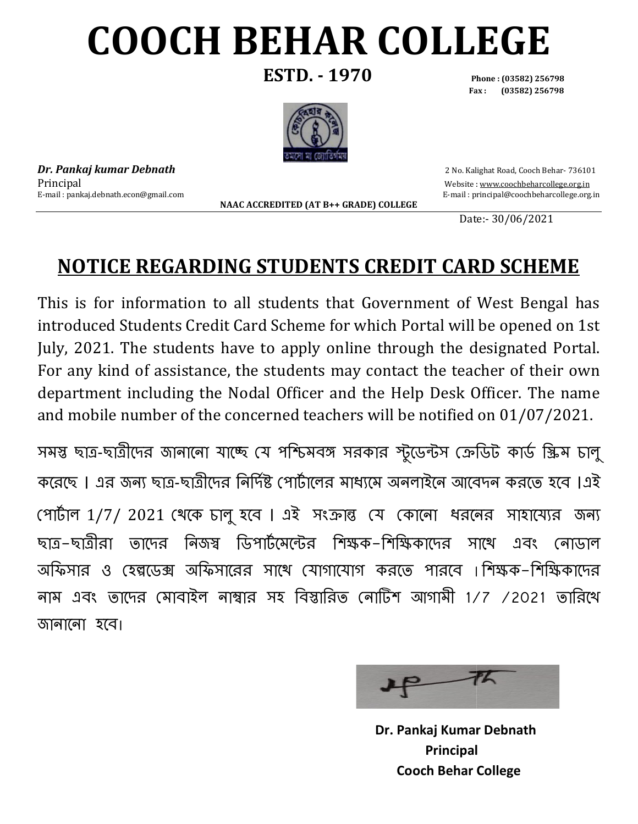# **COOCH BEHAR COLLEGE**

**ESTD. - 1970 Phone : (03582) 256798**

**Fax : Phone : (03582) 256798(03582) 256798**



*Dr. Pankaj kumar Debnath* Principal E-mail : pankaj.debnath.econ@gmail.com

**NAAC ACCREDITED (AT B ACCREDITED (AT B++ GRADE) COLLEGE** 

2 No. Kalighat Road, Cooch Behar 2 Behar- 736101 Website: www.coochbeharcollege.org.in j.debnath.econ@gmail.com E-mail : principal@coochbeharcollege.org.in mail

design and the contract of the contract of the Date: Date:- 30/06/2021

#### **NOTICE REGARDING STUDENTS CREDIT CARD SCHEME CREDIT**

This is for information to all students that Government of West Bengal has This is for information to all students that Government of West Bengal has<br>introduced Students Credit Card Scheme for which Portal will be opened on 1st July, 2021. The students have to apply online through the designated Portal. For any kind of assistance, the students may contact the teacher of their own For any kind of assistance, the students may contact the teacher of their own<br>department including the Nodal Officer and the Help Desk Officer. The name and mobile number of the concerned teachers will be notified on 01/07/2021.

সমস্ত ছাত্ৰ-ছাত্ৰীদের জানানো যাচ্ছে যে পশ্চিমবঙ্গ সরকার স্টুডেন্টস ক্রেডিট কার্ড স্ক্রিম চালু করেছে । এর জন্য ছাত্র-ছাত্রীদের নির্দিষ্ট পোর্টালের মাধ্যমে অনলাইনে আবেদন করতে হবে ।এই পোর্টাল 1/7/ 2021 খেকে চালু হবে । এই সংক্রান্ত যে কোনো ধরনের সাহায্যের জন্য ছাত্র–ছাত্রীরা র নিজস্ব ডিপার্টমেন্টের শিক্ষক–শিক্ষিকাদের স আফসার ও হেল্পডেক্স আফসারের সাথে যোগাযোগ করতে পারবে ।শিক্ষক–শিক্ষিকাদের নাম এবং তাদের মোবাইল নাম্বার সহ বিস্তারিত নোটিশ আগামী 1/7 /2021 তারিখে জানানো হবে। সাথে এবং নোডাল



**Dr. Pankaj Kumar Debnath Principal Cooch Behar College Behar College**